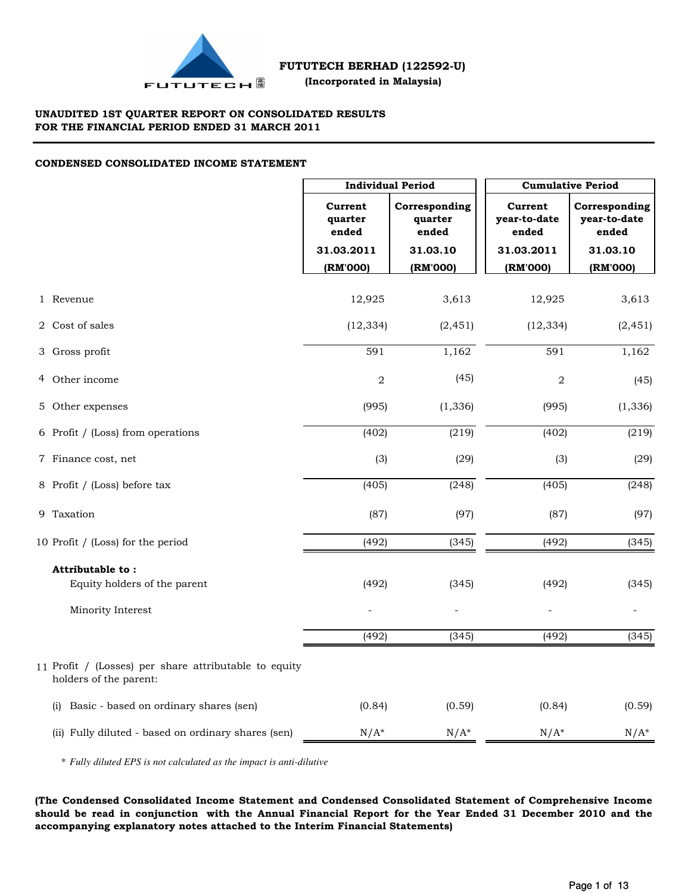

## **UNAUDITED 1ST QUARTER REPORT ON CONSOLIDATED RESULTS FOR THE FINANCIAL PERIOD ENDED 31 MARCH 2011**

## **CONDENSED CONSOLIDATED INCOME STATEMENT**

|                                                                                 |                             | <b>Individual Period</b>          |                                  | <b>Cumulative Period</b>               |  |  |  |
|---------------------------------------------------------------------------------|-----------------------------|-----------------------------------|----------------------------------|----------------------------------------|--|--|--|
|                                                                                 | Current<br>quarter<br>ended | Corresponding<br>quarter<br>ended | Current<br>year-to-date<br>ended | Corresponding<br>year-to-date<br>ended |  |  |  |
|                                                                                 | 31.03.2011                  | 31.03.10                          | 31.03.2011                       | 31.03.10                               |  |  |  |
|                                                                                 | (RM'000)                    | (RM'000)                          | (RM'000)                         | (RM'000)                               |  |  |  |
| 1 Revenue                                                                       | 12,925                      | 3,613                             | 12,925                           | 3,613                                  |  |  |  |
| 2 Cost of sales                                                                 | (12, 334)                   | (2, 451)                          | (12, 334)                        | (2, 451)                               |  |  |  |
| 3 Gross profit                                                                  | 591                         | 1,162                             | 591                              | 1,162                                  |  |  |  |
| 4 Other income                                                                  | $\overline{2}$              | (45)                              | $\overline{2}$                   | (45)                                   |  |  |  |
| 5 Other expenses                                                                | (995)                       | (1, 336)                          | (995)                            | (1, 336)                               |  |  |  |
| 6 Profit / (Loss) from operations                                               | (402)                       | (219)                             | (402)                            | (219)                                  |  |  |  |
| 7 Finance cost, net                                                             | (3)                         | (29)                              | (3)                              | (29)                                   |  |  |  |
| 8 Profit / (Loss) before tax                                                    | (405)                       | (248)                             | (405)                            | (248)                                  |  |  |  |
| 9 Taxation                                                                      | (87)                        | (97)                              | (87)                             | (97)                                   |  |  |  |
| 10 Profit / (Loss) for the period                                               | (492)                       | (345)                             | (492)                            | (345)                                  |  |  |  |
| Attributable to:                                                                |                             |                                   |                                  |                                        |  |  |  |
| Equity holders of the parent                                                    | (492)                       | (345)                             | (492)                            | (345)                                  |  |  |  |
| Minority Interest                                                               |                             |                                   |                                  |                                        |  |  |  |
|                                                                                 | (492)                       | (345)                             | (492)                            | (345)                                  |  |  |  |
| 11 Profit / (Losses) per share attributable to equity<br>holders of the parent: |                             |                                   |                                  |                                        |  |  |  |
| Basic - based on ordinary shares (sen)<br>(i)                                   | (0.84)                      | (0.59)                            | (0.84)                           | (0.59)                                 |  |  |  |
| (ii) Fully diluted - based on ordinary shares (sen)                             | $N/A^*$                     | $N/A^*$                           | $N/A^*$                          | $N/A^*$                                |  |  |  |

\* *Fully diluted EPS is not calculated as the impact is anti-dilutive*

**(The Condensed Consolidated Income Statement and Condensed Consolidated Statement of Comprehensive Income should be read in conjunction with the Annual Financial Report for the Year Ended 31 December 2010 and the accompanying explanatory notes attached to the Interim Financial Statements)**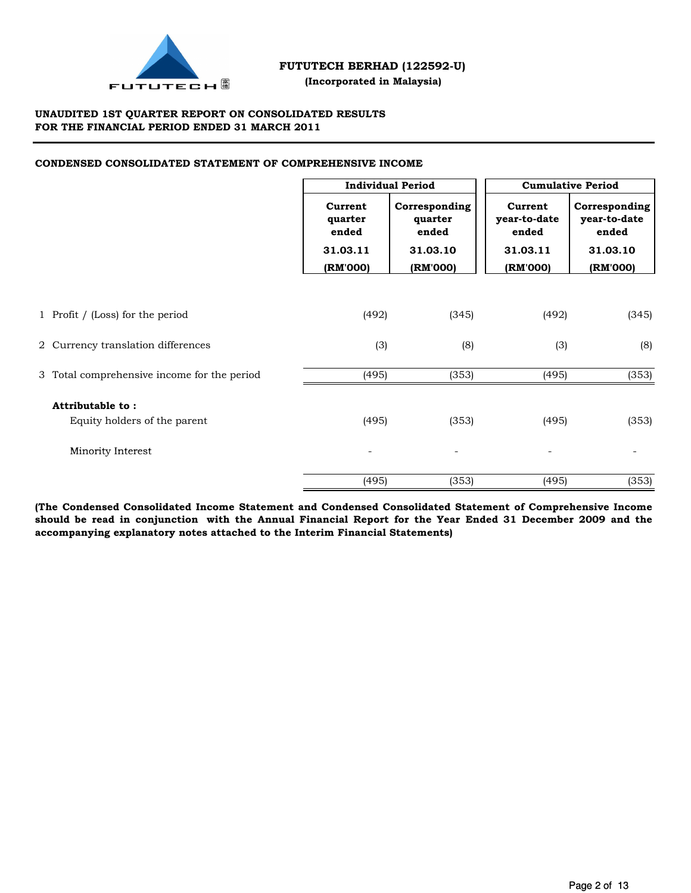

## **(Incorporated in Malaysia)**

## **UNAUDITED 1ST QUARTER REPORT ON CONSOLIDATED RESULTS FOR THE FINANCIAL PERIOD ENDED 31 MARCH 2011**

## **CONDENSED CONSOLIDATED STATEMENT OF COMPREHENSIVE INCOME**

|                                             |                             | <b>Individual Period</b>          |          | <b>Cumulative Period</b>               |  |  |  |
|---------------------------------------------|-----------------------------|-----------------------------------|----------|----------------------------------------|--|--|--|
|                                             | Current<br>quarter<br>ended | Corresponding<br>quarter<br>ended |          | Corresponding<br>year-to-date<br>ended |  |  |  |
|                                             | 31.03.11                    | 31.03.10                          | 31.03.11 | 31.03.10                               |  |  |  |
|                                             | (RM'000)                    | (RM'000)                          | (RM'000) | (RM'000)                               |  |  |  |
|                                             |                             |                                   |          |                                        |  |  |  |
| 1 Profit / (Loss) for the period            | (492)                       | (345)                             | (492)    | (345)                                  |  |  |  |
| 2 Currency translation differences          | (3)                         | (8)                               | (3)      | (8)                                    |  |  |  |
| 3 Total comprehensive income for the period | (495)                       | (353)                             | (495)    | (353)                                  |  |  |  |
| Attributable to:                            |                             |                                   |          |                                        |  |  |  |
| Equity holders of the parent                | (495)                       | (353)                             | (495)    | (353)                                  |  |  |  |
| Minority Interest                           | $\overline{\phantom{0}}$    | $\overline{a}$                    |          |                                        |  |  |  |
|                                             | (495)                       | (353)                             | (495)    | (353)                                  |  |  |  |

**(The Condensed Consolidated Income Statement and Condensed Consolidated Statement of Comprehensive Income should be read in conjunction with the Annual Financial Report for the Year Ended 31 December 2009 and the accompanying explanatory notes attached to the Interim Financial Statements)**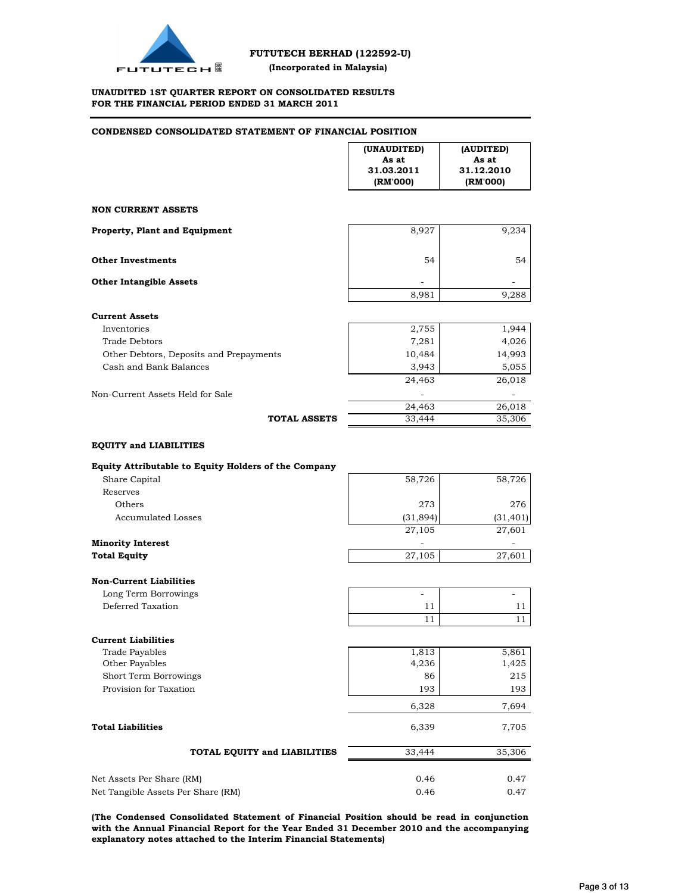

#### **UNAUDITED 1ST QUARTER REPORT ON CONSOLIDATED RESULTS FOR THE FINANCIAL PERIOD ENDED 31 MARCH 2011**

#### **CONDENSED CONSOLIDATED STATEMENT OF FINANCIAL POSITION**

|                                                                                       | (UNAUDITED)<br>As at<br>31.03.2011<br>(RM'000) | (AUDITED)<br>As at<br>31.12.2010<br>(RM'000) |
|---------------------------------------------------------------------------------------|------------------------------------------------|----------------------------------------------|
| <b>NON CURRENT ASSETS</b>                                                             |                                                |                                              |
| <b>Property, Plant and Equipment</b>                                                  | 8,927                                          | 9,234                                        |
| <b>Other Investments</b>                                                              | 54                                             | 54                                           |
| <b>Other Intangible Assets</b>                                                        |                                                |                                              |
|                                                                                       | 8,981                                          | 9,288                                        |
| <b>Current Assets</b>                                                                 |                                                |                                              |
| Inventories                                                                           | 2,755                                          | 1,944                                        |
| Trade Debtors                                                                         | 7,281                                          | 4,026                                        |
| Other Debtors, Deposits and Prepayments                                               | 10,484                                         | 14,993                                       |
| Cash and Bank Balances                                                                | 3,943                                          | 5,055                                        |
|                                                                                       | 24,463                                         | 26,018                                       |
|                                                                                       |                                                |                                              |
| Non-Current Assets Held for Sale                                                      | 24,463                                         |                                              |
| <b>TOTAL ASSETS</b>                                                                   | 33,444                                         | 26,018<br>35,306                             |
| <b>EQUITY and LIABILITIES</b><br>Equity Attributable to Equity Holders of the Company |                                                |                                              |
| Share Capital<br>Reserves                                                             | 58,726                                         | 58,726                                       |
| Others                                                                                | 273                                            | 276                                          |
| Accumulated Losses                                                                    | (31, 894)                                      | (31, 401)                                    |
|                                                                                       | 27,105                                         | 27,601                                       |
| <b>Minority Interest</b>                                                              |                                                |                                              |
| <b>Total Equity</b>                                                                   | 27,105                                         | 27,601                                       |
|                                                                                       |                                                |                                              |
| <b>Non-Current Liabilities</b>                                                        |                                                |                                              |
| Long Term Borrowings                                                                  |                                                |                                              |
| Deferred Taxation                                                                     | 11                                             | 11                                           |
|                                                                                       | 11                                             | 11                                           |
| <b>Current Liabilities</b>                                                            |                                                |                                              |
| <b>Trade Payables</b>                                                                 | 1,813                                          | 5,861                                        |
| Other Payables                                                                        | 4,236                                          | 1,425                                        |
| Short Term Borrowings                                                                 | 86                                             | 215                                          |
| Provision for Taxation                                                                | 193                                            | 193                                          |
|                                                                                       | 6,328                                          | 7,694                                        |
| <b>Total Liabilities</b>                                                              | 6,339                                          | 7,705                                        |
| TOTAL EQUITY and LIABILITIES                                                          | 33,444                                         | 35,306                                       |
|                                                                                       |                                                |                                              |
| Net Assets Per Share (RM)                                                             | 0.46                                           | 0.47                                         |
| Net Tangible Assets Per Share (RM)                                                    | 0.46                                           | 0.47                                         |

**(The Condensed Consolidated Statement of Financial Position should be read in conjunction with the Annual Financial Report for the Year Ended 31 December 2010 and the accompanying explanatory notes attached to the Interim Financial Statements)**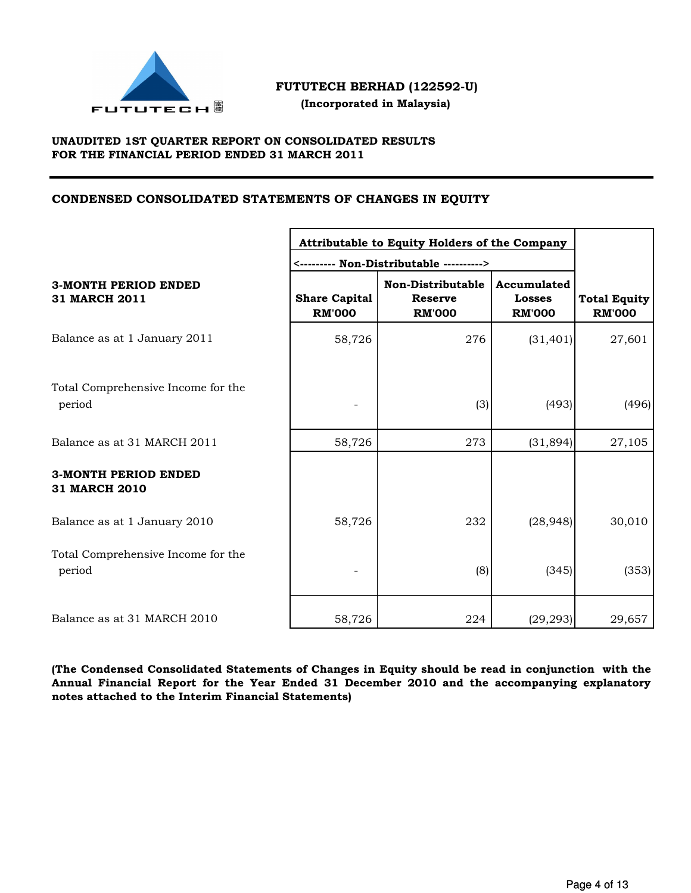

 **(Incorporated in Malaysia)**

## **UNAUDITED 1ST QUARTER REPORT ON CONSOLIDATED RESULTS FOR THE FINANCIAL PERIOD ENDED 31 MARCH 2011**

## **CONDENSED CONSOLIDATED STATEMENTS OF CHANGES IN EQUITY**

|                                                     | Attributable to Equity Holders of the Company |                                                      |                                               |                                      |
|-----------------------------------------------------|-----------------------------------------------|------------------------------------------------------|-----------------------------------------------|--------------------------------------|
| <b>3-MONTH PERIOD ENDED</b><br><b>31 MARCH 2011</b> | <b>Share Capital</b><br><b>RM'000</b>         | Non-Distributable<br><b>Reserve</b><br><b>RM'000</b> | Accumulated<br><b>Losses</b><br><b>RM'000</b> | <b>Total Equity</b><br><b>RM'000</b> |
| Balance as at 1 January 2011                        | 58,726                                        | 276                                                  | (31, 401)                                     | 27,601                               |
| Total Comprehensive Income for the<br>period        |                                               | (3)                                                  | (493)                                         | (496)                                |
| Balance as at 31 MARCH 2011                         | 58,726                                        | 273                                                  | (31,894)                                      | 27,105                               |
| <b>3-MONTH PERIOD ENDED</b><br><b>31 MARCH 2010</b> |                                               |                                                      |                                               |                                      |
| Balance as at 1 January 2010                        | 58,726                                        | 232                                                  | (28, 948)                                     | 30,010                               |
| Total Comprehensive Income for the<br>period        |                                               | (8)                                                  | (345)                                         | (353)                                |
| Balance as at 31 MARCH 2010                         | 58,726                                        | 224                                                  | (29, 293)                                     | 29,657                               |

**(The Condensed Consolidated Statements of Changes in Equity should be read in conjunction with the Annual Financial Report for the Year Ended 31 December 2010 and the accompanying explanatory notes attached to the Interim Financial Statements)**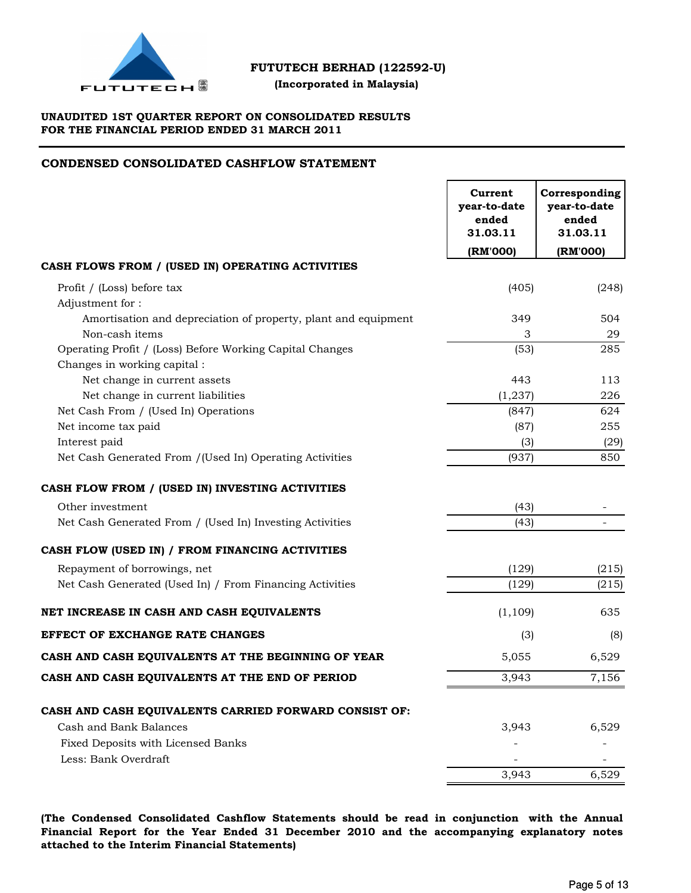

 **(Incorporated in Malaysia)**

## **UNAUDITED 1ST QUARTER REPORT ON CONSOLIDATED RESULTS FOR THE FINANCIAL PERIOD ENDED 31 MARCH 2011**

## **CONDENSED CONSOLIDATED CASHFLOW STATEMENT**

| CASH FLOWS FROM / (USED IN) OPERATING ACTIVITIES<br>(405)<br>Profit / (Loss) before tax<br>(248)<br>Adjustment for:<br>Amortisation and depreciation of property, plant and equipment<br>504<br>349<br>Non-cash items<br>3<br>29<br>(53)<br>285<br>Operating Profit / (Loss) Before Working Capital Changes<br>Changes in working capital :<br>Net change in current assets<br>443<br>113<br>Net change in current liabilities<br>(1, 237)<br>226<br>Net Cash From / (Used In) Operations<br>(847)<br>624<br>Net income tax paid<br>(87)<br>255<br>Interest paid<br>(3)<br>(29)<br>(937)<br>850<br>Net Cash Generated From /(Used In) Operating Activities<br>Other investment<br>(43)<br>Net Cash Generated From / (Used In) Investing Activities<br>(43)<br>Repayment of borrowings, net<br>(129)<br>(215)<br>(129)<br>(215)<br>Net Cash Generated (Used In) / From Financing Activities<br>(1, 109)<br>635<br>(3)<br>(8)<br>6,529<br>5,055<br>3,943<br>7,156<br>CASH AND CASH EQUIVALENTS CARRIED FORWARD CONSIST OF:<br>Cash and Bank Balances<br>3,943<br>6,529<br>Fixed Deposits with Licensed Banks<br>Less: Bank Overdraft |                                                    | Current<br>year-to-date<br>ended<br>31.03.11 | Corresponding<br>year-to-date<br>ended<br>31.03.11 |
|------------------------------------------------------------------------------------------------------------------------------------------------------------------------------------------------------------------------------------------------------------------------------------------------------------------------------------------------------------------------------------------------------------------------------------------------------------------------------------------------------------------------------------------------------------------------------------------------------------------------------------------------------------------------------------------------------------------------------------------------------------------------------------------------------------------------------------------------------------------------------------------------------------------------------------------------------------------------------------------------------------------------------------------------------------------------------------------------------------------------------------|----------------------------------------------------|----------------------------------------------|----------------------------------------------------|
|                                                                                                                                                                                                                                                                                                                                                                                                                                                                                                                                                                                                                                                                                                                                                                                                                                                                                                                                                                                                                                                                                                                                    |                                                    | (RM'000)                                     | (RM'000)                                           |
|                                                                                                                                                                                                                                                                                                                                                                                                                                                                                                                                                                                                                                                                                                                                                                                                                                                                                                                                                                                                                                                                                                                                    |                                                    |                                              |                                                    |
|                                                                                                                                                                                                                                                                                                                                                                                                                                                                                                                                                                                                                                                                                                                                                                                                                                                                                                                                                                                                                                                                                                                                    |                                                    |                                              |                                                    |
|                                                                                                                                                                                                                                                                                                                                                                                                                                                                                                                                                                                                                                                                                                                                                                                                                                                                                                                                                                                                                                                                                                                                    |                                                    |                                              |                                                    |
|                                                                                                                                                                                                                                                                                                                                                                                                                                                                                                                                                                                                                                                                                                                                                                                                                                                                                                                                                                                                                                                                                                                                    |                                                    |                                              |                                                    |
|                                                                                                                                                                                                                                                                                                                                                                                                                                                                                                                                                                                                                                                                                                                                                                                                                                                                                                                                                                                                                                                                                                                                    |                                                    |                                              |                                                    |
|                                                                                                                                                                                                                                                                                                                                                                                                                                                                                                                                                                                                                                                                                                                                                                                                                                                                                                                                                                                                                                                                                                                                    |                                                    |                                              |                                                    |
|                                                                                                                                                                                                                                                                                                                                                                                                                                                                                                                                                                                                                                                                                                                                                                                                                                                                                                                                                                                                                                                                                                                                    |                                                    |                                              |                                                    |
|                                                                                                                                                                                                                                                                                                                                                                                                                                                                                                                                                                                                                                                                                                                                                                                                                                                                                                                                                                                                                                                                                                                                    |                                                    |                                              |                                                    |
|                                                                                                                                                                                                                                                                                                                                                                                                                                                                                                                                                                                                                                                                                                                                                                                                                                                                                                                                                                                                                                                                                                                                    |                                                    |                                              |                                                    |
|                                                                                                                                                                                                                                                                                                                                                                                                                                                                                                                                                                                                                                                                                                                                                                                                                                                                                                                                                                                                                                                                                                                                    |                                                    |                                              |                                                    |
|                                                                                                                                                                                                                                                                                                                                                                                                                                                                                                                                                                                                                                                                                                                                                                                                                                                                                                                                                                                                                                                                                                                                    |                                                    |                                              |                                                    |
|                                                                                                                                                                                                                                                                                                                                                                                                                                                                                                                                                                                                                                                                                                                                                                                                                                                                                                                                                                                                                                                                                                                                    |                                                    |                                              |                                                    |
|                                                                                                                                                                                                                                                                                                                                                                                                                                                                                                                                                                                                                                                                                                                                                                                                                                                                                                                                                                                                                                                                                                                                    |                                                    |                                              |                                                    |
|                                                                                                                                                                                                                                                                                                                                                                                                                                                                                                                                                                                                                                                                                                                                                                                                                                                                                                                                                                                                                                                                                                                                    | CASH FLOW FROM / (USED IN) INVESTING ACTIVITIES    |                                              |                                                    |
|                                                                                                                                                                                                                                                                                                                                                                                                                                                                                                                                                                                                                                                                                                                                                                                                                                                                                                                                                                                                                                                                                                                                    |                                                    |                                              |                                                    |
|                                                                                                                                                                                                                                                                                                                                                                                                                                                                                                                                                                                                                                                                                                                                                                                                                                                                                                                                                                                                                                                                                                                                    |                                                    |                                              |                                                    |
|                                                                                                                                                                                                                                                                                                                                                                                                                                                                                                                                                                                                                                                                                                                                                                                                                                                                                                                                                                                                                                                                                                                                    | CASH FLOW (USED IN) / FROM FINANCING ACTIVITIES    |                                              |                                                    |
|                                                                                                                                                                                                                                                                                                                                                                                                                                                                                                                                                                                                                                                                                                                                                                                                                                                                                                                                                                                                                                                                                                                                    |                                                    |                                              |                                                    |
|                                                                                                                                                                                                                                                                                                                                                                                                                                                                                                                                                                                                                                                                                                                                                                                                                                                                                                                                                                                                                                                                                                                                    |                                                    |                                              |                                                    |
|                                                                                                                                                                                                                                                                                                                                                                                                                                                                                                                                                                                                                                                                                                                                                                                                                                                                                                                                                                                                                                                                                                                                    | NET INCREASE IN CASH AND CASH EQUIVALENTS          |                                              |                                                    |
|                                                                                                                                                                                                                                                                                                                                                                                                                                                                                                                                                                                                                                                                                                                                                                                                                                                                                                                                                                                                                                                                                                                                    | <b>EFFECT OF EXCHANGE RATE CHANGES</b>             |                                              |                                                    |
|                                                                                                                                                                                                                                                                                                                                                                                                                                                                                                                                                                                                                                                                                                                                                                                                                                                                                                                                                                                                                                                                                                                                    | CASH AND CASH EQUIVALENTS AT THE BEGINNING OF YEAR |                                              |                                                    |
|                                                                                                                                                                                                                                                                                                                                                                                                                                                                                                                                                                                                                                                                                                                                                                                                                                                                                                                                                                                                                                                                                                                                    | CASH AND CASH EQUIVALENTS AT THE END OF PERIOD     |                                              |                                                    |
|                                                                                                                                                                                                                                                                                                                                                                                                                                                                                                                                                                                                                                                                                                                                                                                                                                                                                                                                                                                                                                                                                                                                    |                                                    |                                              |                                                    |
|                                                                                                                                                                                                                                                                                                                                                                                                                                                                                                                                                                                                                                                                                                                                                                                                                                                                                                                                                                                                                                                                                                                                    |                                                    |                                              |                                                    |
|                                                                                                                                                                                                                                                                                                                                                                                                                                                                                                                                                                                                                                                                                                                                                                                                                                                                                                                                                                                                                                                                                                                                    |                                                    |                                              |                                                    |
|                                                                                                                                                                                                                                                                                                                                                                                                                                                                                                                                                                                                                                                                                                                                                                                                                                                                                                                                                                                                                                                                                                                                    |                                                    |                                              |                                                    |
|                                                                                                                                                                                                                                                                                                                                                                                                                                                                                                                                                                                                                                                                                                                                                                                                                                                                                                                                                                                                                                                                                                                                    |                                                    | 3,943                                        | 6,529                                              |

**(The Condensed Consolidated Cashflow Statements should be read in conjunction with the Annual Financial Report for the Year Ended 31 December 2010 and the accompanying explanatory notes attached to the Interim Financial Statements)**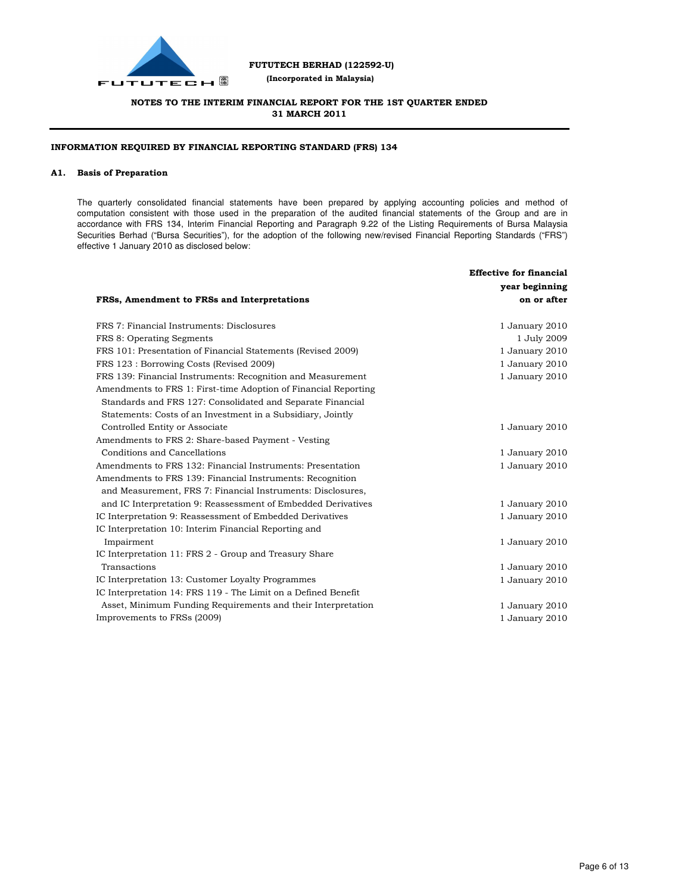

 **(Incorporated in Malaysia)**

## **NOTES TO THE INTERIM FINANCIAL REPORT FOR THE 1ST QUARTER ENDED 31 MARCH 2011**

### **INFORMATION REQUIRED BY FINANCIAL REPORTING STANDARD (FRS) 134**

#### **A1. Basis of Preparation**

The quarterly consolidated financial statements have been prepared by applying accounting policies and method of computation consistent with those used in the preparation of the audited financial statements of the Group and are in accordance with FRS 134, Interim Financial Reporting and Paragraph 9.22 of the Listing Requirements of Bursa Malaysia Securities Berhad ("Bursa Securities"), for the adoption of the following new/revised Financial Reporting Standards ("FRS") effective 1 January 2010 as disclosed below:

|                                                                 | <b>Effective for financial</b> |
|-----------------------------------------------------------------|--------------------------------|
|                                                                 | year beginning                 |
| FRSs, Amendment to FRSs and Interpretations                     | on or after                    |
| FRS 7: Financial Instruments: Disclosures                       | 1 January 2010                 |
| FRS 8: Operating Segments                                       | 1 July 2009                    |
| FRS 101: Presentation of Financial Statements (Revised 2009)    | 1 January 2010                 |
| FRS 123 : Borrowing Costs (Revised 2009)                        | 1 January 2010                 |
| FRS 139: Financial Instruments: Recognition and Measurement     | 1 January 2010                 |
| Amendments to FRS 1: First-time Adoption of Financial Reporting |                                |
| Standards and FRS 127: Consolidated and Separate Financial      |                                |
| Statements: Costs of an Investment in a Subsidiary, Jointly     |                                |
| Controlled Entity or Associate                                  | 1 January 2010                 |
| Amendments to FRS 2: Share-based Payment - Vesting              |                                |
| Conditions and Cancellations                                    | 1 January 2010                 |
| Amendments to FRS 132: Financial Instruments: Presentation      | 1 January 2010                 |
| Amendments to FRS 139: Financial Instruments: Recognition       |                                |
| and Measurement, FRS 7: Financial Instruments: Disclosures,     |                                |
| and IC Interpretation 9: Reassessment of Embedded Derivatives   | 1 January 2010                 |
| IC Interpretation 9: Reassessment of Embedded Derivatives       | 1 January 2010                 |
| IC Interpretation 10: Interim Financial Reporting and           |                                |
| Impairment                                                      | 1 January 2010                 |
| IC Interpretation 11: FRS 2 - Group and Treasury Share          |                                |
| Transactions                                                    | 1 January 2010                 |
| IC Interpretation 13: Customer Loyalty Programmes               | 1 January 2010                 |
| IC Interpretation 14: FRS 119 - The Limit on a Defined Benefit  |                                |
| Asset, Minimum Funding Requirements and their Interpretation    | 1 January 2010                 |
| Improvements to FRSs (2009)                                     | 1 January 2010                 |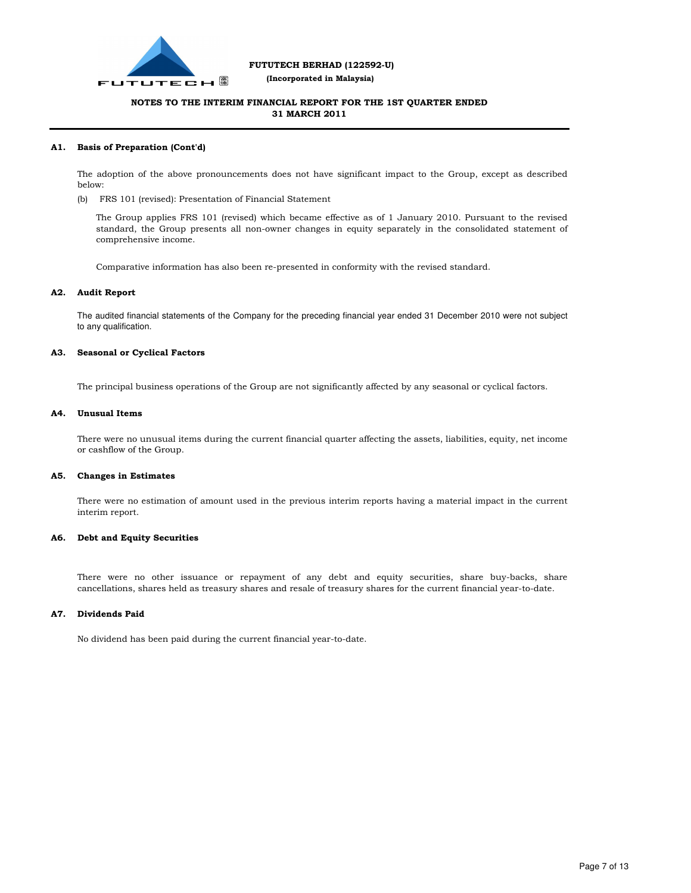

 **(Incorporated in Malaysia)**

## **NOTES TO THE INTERIM FINANCIAL REPORT FOR THE 1ST QUARTER ENDED 31 MARCH 2011**

#### **A1. Basis of Preparation (Cont'd)**

The adoption of the above pronouncements does not have significant impact to the Group, except as described below:

(b) FRS 101 (revised): Presentation of Financial Statement

The Group applies FRS 101 (revised) which became effective as of 1 January 2010. Pursuant to the revised standard, the Group presents all non-owner changes in equity separately in the consolidated statement of comprehensive income.

Comparative information has also been re-presented in conformity with the revised standard.

#### **A2. Audit Report**

The audited financial statements of the Company for the preceding financial year ended 31 December 2010 were not subject to any qualification.

#### **A3. Seasonal or Cyclical Factors**

The principal business operations of the Group are not significantly affected by any seasonal or cyclical factors.

#### **A4. Unusual Items**

There were no unusual items during the current financial quarter affecting the assets, liabilities, equity, net income or cashflow of the Group.

#### **A5. Changes in Estimates**

There were no estimation of amount used in the previous interim reports having a material impact in the current interim report.

#### **A6. Debt and Equity Securities**

There were no other issuance or repayment of any debt and equity securities, share buy-backs, share cancellations, shares held as treasury shares and resale of treasury shares for the current financial year-to-date.

#### **A7. Dividends Paid**

No dividend has been paid during the current financial year-to-date.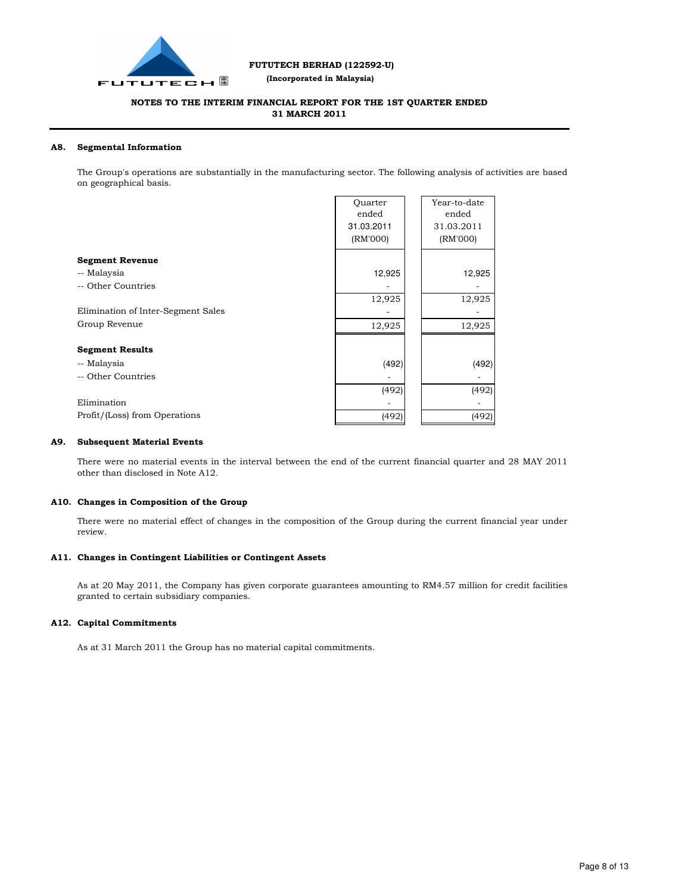

 **(Incorporated in Malaysia)**

### **NOTES TO THE INTERIM FINANCIAL REPORT FOR THE 1ST QUARTER ENDED 31 MARCH 2011**

#### **A8. Segmental Information**

The Group's operations are substantially in the manufacturing sector. The following analysis of activities are based on geographical basis.

|                                    | Ouarter<br>ended | Year-to-date<br>ended |
|------------------------------------|------------------|-----------------------|
|                                    | 31.03.2011       | 31.03.2011            |
|                                    |                  |                       |
|                                    | (RM'000)         | (RM'000)              |
| <b>Segment Revenue</b>             |                  |                       |
| -- Malaysia                        | 12,925           | 12,925                |
| -- Other Countries                 |                  |                       |
|                                    | 12,925           | 12,925                |
| Elimination of Inter-Segment Sales |                  |                       |
| Group Revenue                      | 12,925           | 12,925                |
|                                    |                  |                       |
| <b>Segment Results</b>             |                  |                       |
| -- Malaysia                        | (492)            | (492)                 |
| -- Other Countries                 |                  |                       |
|                                    | (492)            | (492)                 |
| Elimination                        |                  |                       |
| Profit/(Loss) from Operations      | (492)            | (492)                 |

#### **A9. Subsequent Material Events**

There were no material events in the interval between the end of the current financial quarter and 28 MAY 2011 other than disclosed in Note A12.

#### **A10. Changes in Composition of the Group**

There were no material effect of changes in the composition of the Group during the current financial year under review.

#### **A11. Changes in Contingent Liabilities or Contingent Assets**

As at 20 May 2011, the Company has given corporate guarantees amounting to RM4.57 million for credit facilities granted to certain subsidiary companies.

#### **A12. Capital Commitments**

As at 31 March 2011 the Group has no material capital commitments.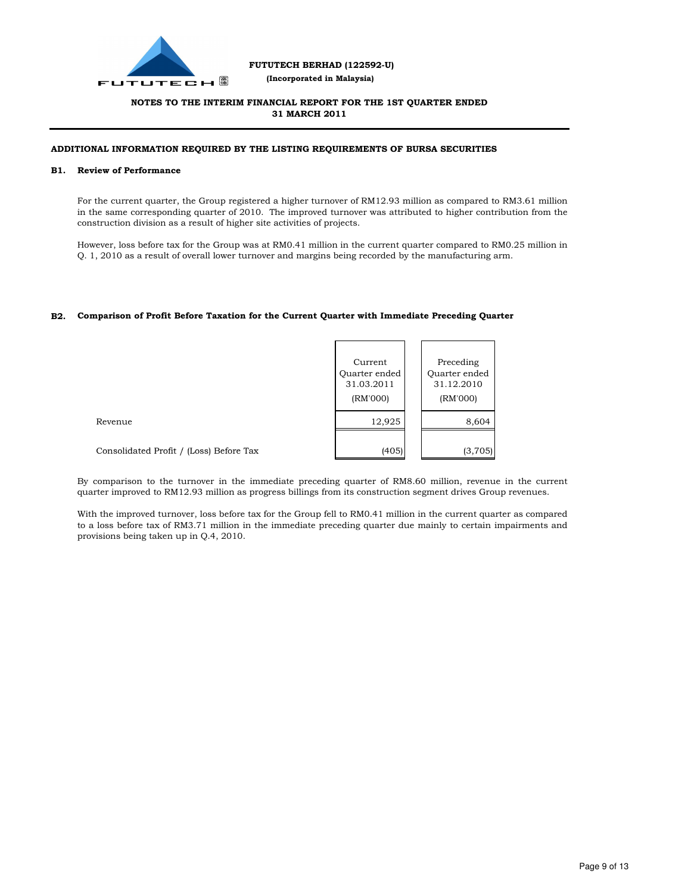

 **(Incorporated in Malaysia)**

## **NOTES TO THE INTERIM FINANCIAL REPORT FOR THE 1ST QUARTER ENDED 31 MARCH 2011**

#### **ADDITIONAL INFORMATION REQUIRED BY THE LISTING REQUIREMENTS OF BURSA SECURITIES**

#### **B1. Review of Performance**

For the current quarter, the Group registered a higher turnover of RM12.93 million as compared to RM3.61 million in the same corresponding quarter of 2010. The improved turnover was attributed to higher contribution from the construction division as a result of higher site activities of projects.

However, loss before tax for the Group was at RM0.41 million in the current quarter compared to RM0.25 million in Q. 1, 2010 as a result of overall lower turnover and margins being recorded by the manufacturing arm.

### **B2. Comparison of Profit Before Taxation for the Current Quarter with Immediate Preceding Quarter**

|                                         | Current<br>Quarter ended<br>31.03.2011<br>(RM'000) | Preceding<br>Quarter ended<br>31.12.2010<br>(RM'000) |
|-----------------------------------------|----------------------------------------------------|------------------------------------------------------|
| Revenue                                 | 12,925                                             | 8,604                                                |
| Consolidated Profit / (Loss) Before Tax | (405)                                              | (3,705)                                              |

By comparison to the turnover in the immediate preceding quarter of RM8.60 million, revenue in the current quarter improved to RM12.93 million as progress billings from its construction segment drives Group revenues.

With the improved turnover, loss before tax for the Group fell to RM0.41 million in the current quarter as compared to a loss before tax of RM3.71 million in the immediate preceding quarter due mainly to certain impairments and provisions being taken up in Q.4, 2010.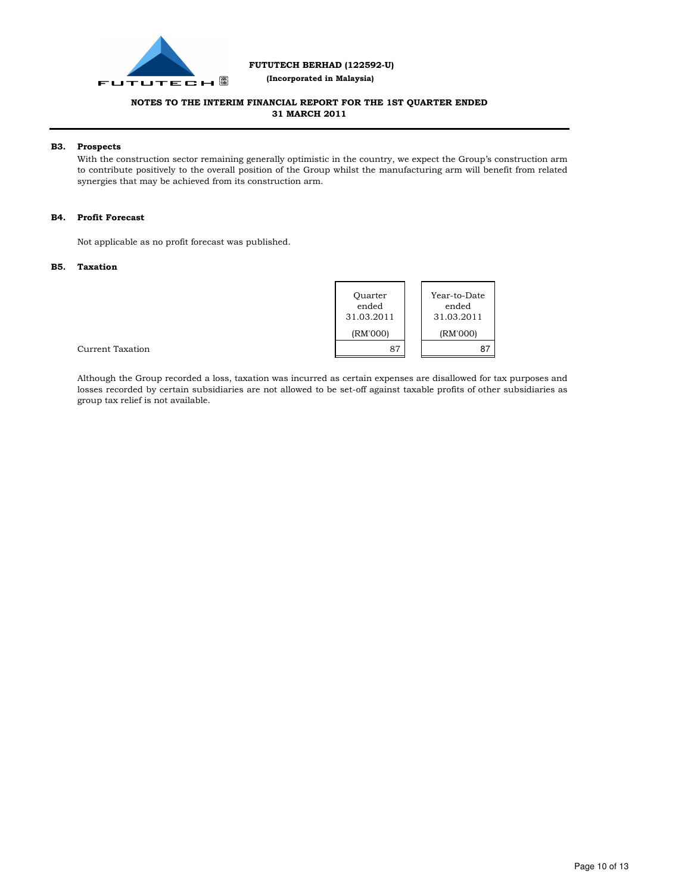

 **(Incorporated in Malaysia)**

## **NOTES TO THE INTERIM FINANCIAL REPORT FOR THE 1ST QUARTER ENDED 31 MARCH 2011**

#### **B3. Prospects**

With the construction sector remaining generally optimistic in the country, we expect the Group's construction arm to contribute positively to the overall position of the Group whilst the manufacturing arm will benefit from related synergies that may be achieved from its construction arm.

#### **B4. Profit Forecast**

Not applicable as no profit forecast was published.

#### **B5. Taxation**

| Ouarter<br>ended<br>31.03.2011 | Year-to-Date<br>ended<br>31.03.2011 |
|--------------------------------|-------------------------------------|
| (RM'000)                       | (RM'000)                            |
| 87                             |                                     |

Current Taxation

Although the Group recorded a loss, taxation was incurred as certain expenses are disallowed for tax purposes and losses recorded by certain subsidiaries are not allowed to be set-off against taxable profits of other subsidiaries as group tax relief is not available.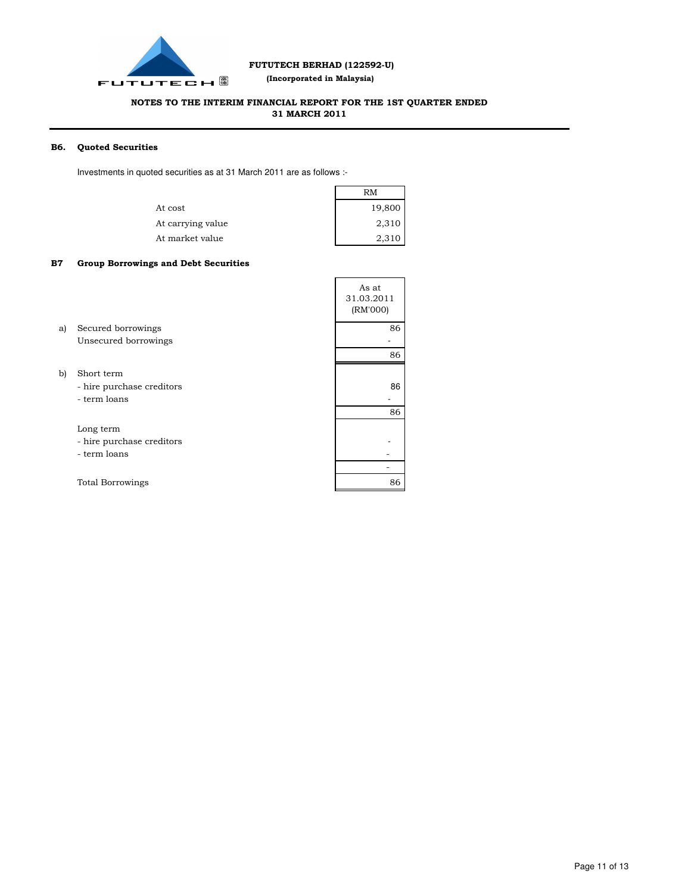

 **(Incorporated in Malaysia)**

## **NOTES TO THE INTERIM FINANCIAL REPORT FOR THE 1ST QUARTER ENDED 31 MARCH 2011**

#### **B6. Quoted Securities**

Investments in quoted securities as at 31 March 2011 are as follows :-

|                   | RM     |  |
|-------------------|--------|--|
| At cost           | 19,800 |  |
| At carrying value | 2,310  |  |
| At market value   | 2,310  |  |

#### **B7 Group Borrowings and Debt Securities**

|    |                                                         | As at<br>31.03.2011<br>(RM'000) |
|----|---------------------------------------------------------|---------------------------------|
| a) | Secured borrowings                                      | 86                              |
|    | Unsecured borrowings                                    |                                 |
|    |                                                         | 86                              |
| b) | Short term<br>- hire purchase creditors<br>- term loans | 86                              |
|    |                                                         | 86                              |
|    | Long term<br>- hire purchase creditors<br>- term loans  |                                 |
|    |                                                         |                                 |
|    | <b>Total Borrowings</b>                                 | 86                              |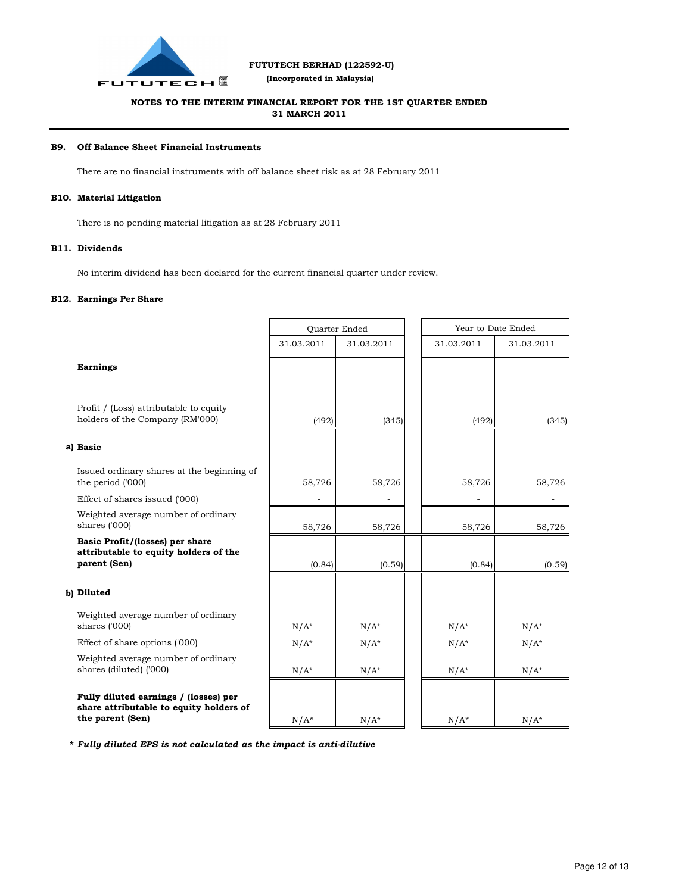

 **(Incorporated in Malaysia)**

## **NOTES TO THE INTERIM FINANCIAL REPORT FOR THE 1ST QUARTER ENDED 31 MARCH 2011**

#### **B9. Off Balance Sheet Financial Instruments**

There are no financial instruments with off balance sheet risk as at 28 February 2011

#### **B10. Material Litigation**

There is no pending material litigation as at 28 February 2011

#### **B11. Dividends**

No interim dividend has been declared for the current financial quarter under review.

#### **B12. Earnings Per Share**

|                                                                                                      | Quarter Ended |            | Year-to-Date Ended |            |
|------------------------------------------------------------------------------------------------------|---------------|------------|--------------------|------------|
|                                                                                                      | 31.03.2011    | 31.03.2011 | 31.03.2011         | 31.03.2011 |
| <b>Earnings</b>                                                                                      |               |            |                    |            |
| Profit / (Loss) attributable to equity<br>holders of the Company (RM'000)                            | (492)         | (345)      | (492)              | (345)      |
| a) Basic                                                                                             |               |            |                    |            |
| Issued ordinary shares at the beginning of<br>the period ('000)                                      | 58,726        | 58,726     | 58,726             | 58,726     |
| Effect of shares issued ('000)                                                                       |               |            |                    |            |
| Weighted average number of ordinary<br>shares ('000)                                                 | 58,726        | 58,726     | 58,726             | 58,726     |
| Basic Profit/(losses) per share<br>attributable to equity holders of the<br>parent (Sen)             | (0.84)        | (0.59)     | (0.84)             | (0.59)     |
| b) Diluted                                                                                           |               |            |                    |            |
| Weighted average number of ordinary<br>shares ('000)                                                 | $N/A^*$       | $N/A^*$    | $N/A^*$            | $N/A^*$    |
| Effect of share options ('000)                                                                       | $N/A^*$       | $N/A^*$    | $N/A^*$            | $N/A^*$    |
| Weighted average number of ordinary<br>shares (diluted) ('000)                                       | $N/A^*$       | $N/A^*$    | $N/A^*$            | $N/A^*$    |
| Fully diluted earnings / (losses) per<br>share attributable to equity holders of<br>the parent (Sen) | $N/A^*$       | $N/A^*$    | $N/A^*$            | $N/A^*$    |

**\*** *Fully diluted EPS is not calculated as the impact is anti-dilutive*